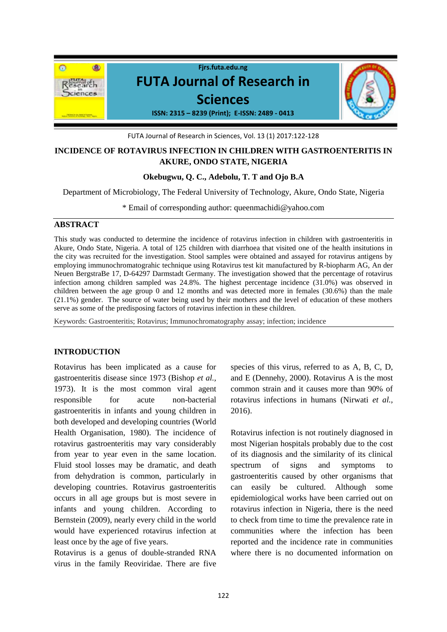

FUTA Journal of Research in Sciences, Vol. 13 (1) 2017:122-128

## **INCIDENCE OF ROTAVIRUS INFECTION IN CHILDREN WITH GASTROENTERITIS IN AKURE, ONDO STATE, NIGERIA**

## **Okebugwu, Q. C., Adebolu, T. T and Ojo B.A**

Department of Microbiology, The Federal University of Technology, Akure, Ondo State, Nigeria

\* Email of corresponding author: queenmachidi@yahoo.com

## **ABSTRACT**

This study was conducted to determine the incidence of rotavirus infection in children with gastroenteritis in Akure, Ondo State, Nigeria. A total of 125 children with diarrhoea that visited one of the health insitutions in the city was recruited for the investigation. Stool samples were obtained and assayed for rotavirus antigens by employing immunochromatograhic technique using Rotavirus test kit manufactured by R-biopharm AG, An der Neuen BergstraBe 17, D-64297 Darmstadt Germany. The investigation showed that the percentage of rotavirus infection among children sampled was 24.8%. The highest percentage incidence (31.0%) was observed in children between the age group 0 and 12 months and was detected more in females (30.6%) than the male (21.1%) gender. The source of water being used by their mothers and the level of education of these mothers serve as some of the predisposing factors of rotavirus infection in these children.

Keywords: Gastroenteritis; Rotavirus; Immunochromatography assay; infection; incidence

## **INTRODUCTION**

Rotavirus has been implicated as a cause for gastroenteritis disease since 1973 (Bishop *et al.,* 1973). It is the most common viral agent responsible for acute non-bacterial gastroenteritis in infants and young children in both developed and developing countries (World Health Organisation, 1980). The incidence of rotavirus gastroenteritis may vary considerably from year to year even in the same location. Fluid stool losses may be dramatic, and death from dehydration is common, particularly in developing countries. Rotavirus gastroenteritis occurs in all age groups but is most severe in infants and young children. According to Bernstein (2009), nearly every child in the world would have experienced rotavirus infection at least once by the age of five years.

Rotavirus is a genus of double-stranded RNA virus in the family Reoviridae. There are five species of this virus, referred to as A, B, C, D, and E (Dennehy, 2000). Rotavirus A is the most common strain and it causes more than 90% of rotavirus infections in humans (Nirwati *et al.,* 2016).

Rotavirus infection is not routinely diagnosed in most Nigerian hospitals probably due to the cost of its diagnosis and the similarity of its clinical spectrum of signs and symptoms gastroenteritis caused by other organisms that can easily be cultured. Although some epidemiological works have been carried out on rotavirus infection in Nigeria, there is the need to check from time to time the prevalence rate in communities where the infection has been reported and the incidence rate in communities where there is no documented information on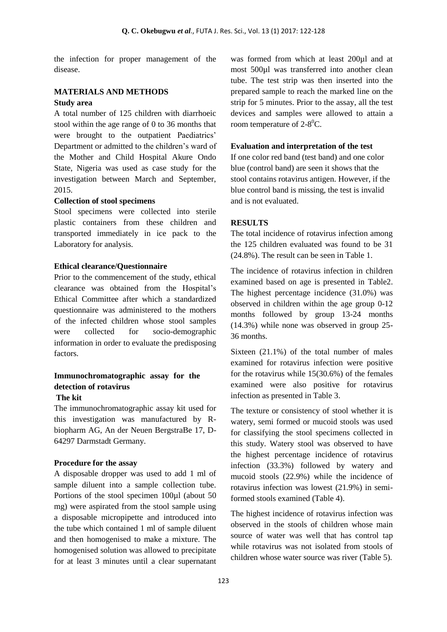the infection for proper management of the disease.

## **MATERIALS AND METHODS Study area**

A total number of 125 children with diarrhoeic stool within the age range of 0 to 36 months that were brought to the outpatient Paediatrics' Department or admitted to the children's ward of the Mother and Child Hospital Akure Ondo State, Nigeria was used as case study for the investigation between March and September, 2015.

#### **Collection of stool specimens**

Stool specimens were collected into sterile plastic containers from these children and transported immediately in ice pack to the Laboratory for analysis.

## **Ethical clearance/Questionnaire**

Prior to the commencement of the study, ethical clearance was obtained from the Hospital's Ethical Committee after which a standardized questionnaire was administered to the mothers of the infected children whose stool samples were collected for socio-demographic information in order to evaluate the predisposing factors.

# **Immunochromatographic assay for the detection of rotavirus**

## **The kit**

The immunochromatographic assay kit used for this investigation was manufactured by Rbiopharm AG, An der Neuen BergstraBe 17, D-64297 Darmstadt Germany.

#### **Procedure for the assay**

A disposable dropper was used to add 1 ml of sample diluent into a sample collection tube. Portions of the stool specimen 100µl (about 50 mg) were aspirated from the stool sample using a disposable micropipette and introduced into the tube which contained 1 ml of sample diluent and then homogenised to make a mixture. The homogenised solution was allowed to precipitate for at least 3 minutes until a clear supernatant

was formed from which at least 200µl and at most 500µl was transferred into another clean tube. The test strip was then inserted into the prepared sample to reach the marked line on the strip for 5 minutes. Prior to the assay, all the test devices and samples were allowed to attain a room temperature of  $2-8^0C$ .

#### **Evaluation and interpretation of the test**

If one color red band (test band) and one color blue (control band) are seen it shows that the stool contains rotavirus antigen. However, if the blue control band is missing, the test is invalid and is not evaluated.

#### **RESULTS**

The total incidence of rotavirus infection among the 125 children evaluated was found to be 31 (24.8%). The result can be seen in Table 1.

The incidence of rotavirus infection in children examined based on age is presented in Table2. The highest percentage incidence (31.0%) was observed in children within the age group 0-12 months followed by group 13-24 months (14.3%) while none was observed in group 25- 36 months.

Sixteen (21.1%) of the total number of males examined for rotavirus infection were positive for the rotavirus while 15(30.6%) of the females examined were also positive for rotavirus infection as presented in Table 3.

The texture or consistency of stool whether it is watery, semi formed or mucoid stools was used for classifying the stool specimens collected in this study. Watery stool was observed to have the highest percentage incidence of rotavirus infection (33.3%) followed by watery and mucoid stools (22.9%) while the incidence of rotavirus infection was lowest (21.9%) in semiformed stools examined (Table 4).

The highest incidence of rotavirus infection was observed in the stools of children whose main source of water was well that has control tap while rotavirus was not isolated from stools of children whose water source was river (Table 5).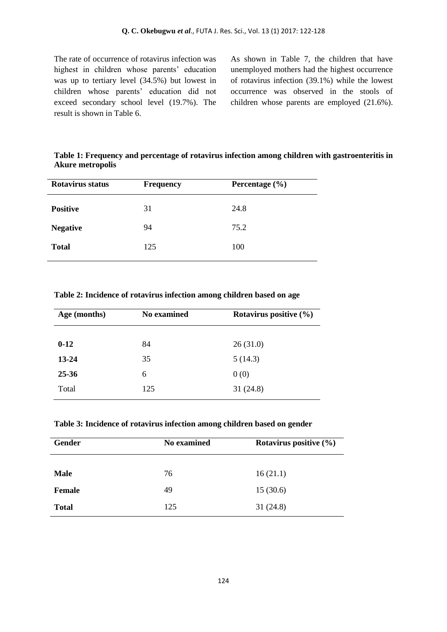The rate of occurrence of rotavirus infection was highest in children whose parents' education was up to tertiary level (34.5%) but lowest in children whose parents' education did not exceed secondary school level (19.7%). The result is shown in Table 6.

As shown in Table 7, the children that have unemployed mothers had the highest occurrence of rotavirus infection (39.1%) while the lowest occurrence was observed in the stools of children whose parents are employed (21.6%).

**Table 1: Frequency and percentage of rotavirus infection among children with gastroenteritis in Akure metropolis**

| Rotavirus status | <b>Frequency</b> | Percentage $(\% )$ |
|------------------|------------------|--------------------|
| <b>Positive</b>  | 31               | 24.8               |
| <b>Negative</b>  | 94               | 75.2               |
| <b>Total</b>     | 125              | 100                |

**Table 2: Incidence of rotavirus infection among children based on age**

| Age (months) | No examined | Rotavirus positive $(\% )$ |
|--------------|-------------|----------------------------|
|              |             |                            |
| $0 - 12$     | 84          | 26(31.0)                   |
| 13-24        | 35          | 5(14.3)                    |
| $25 - 36$    | 6           | 0(0)                       |
| Total        | 125         | 31(24.8)                   |

**Table 3: Incidence of rotavirus infection among children based on gender**

| Gender       | <b>No examined</b> | Rotavirus positive $(\% )$ |
|--------------|--------------------|----------------------------|
|              |                    |                            |
| <b>Male</b>  | 76                 | 16(21.1)                   |
| Female       | 49                 | 15(30.6)                   |
| <b>Total</b> | 125                | 31(24.8)                   |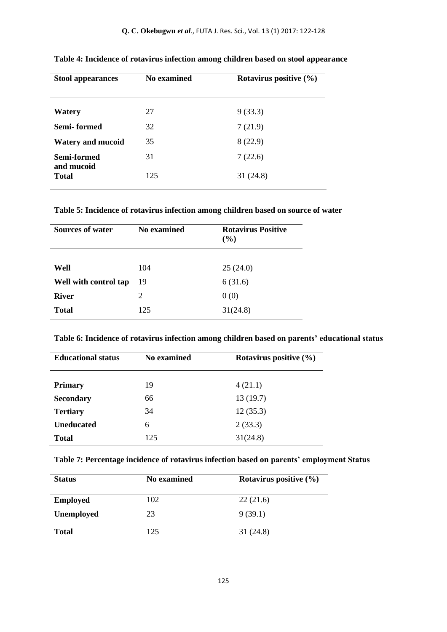| <b>Stool appearances</b>   | No examined | Rotavirus positive $(\% )$ |
|----------------------------|-------------|----------------------------|
| Watery                     | 27          | 9(33.3)                    |
| Semi-formed                | 32          | 7(21.9)                    |
| <b>Watery and mucoid</b>   | 35          | 8(22.9)                    |
| Semi-formed                | 31          | 7(22.6)                    |
| and mucoid<br><b>Total</b> | 125         | 31(24.8)                   |

**Table 4: Incidence of rotavirus infection among children based on stool appearance**

**Table 5: Incidence of rotavirus infection among children based on source of water**

| <b>Sources of water</b> | No examined | <b>Rotavirus Positive</b><br>$($ %) |
|-------------------------|-------------|-------------------------------------|
| Well                    | 104         | 25(24.0)                            |
| Well with control tap   | 19          | 6(31.6)                             |
| <b>River</b>            | 2           | 0(0)                                |
| <b>Total</b>            | 125         | 31(24.8)                            |

**Table 6: Incidence of rotavirus infection among children based on parents' educational status**

| <b>Educational status</b> | No examined | Rotavirus positive $(\% )$ |
|---------------------------|-------------|----------------------------|
| <b>Primary</b>            | 19          | 4(21.1)                    |
| <b>Secondary</b>          | 66          | 13(19.7)                   |
| <b>Tertiary</b>           | 34          | 12(35.3)                   |
| <b>Uneducated</b>         | 6           | 2(33.3)                    |
| <b>Total</b>              | 125         | 31(24.8)                   |

| Table 7: Percentage incidence of rotavirus infection based on parents' employment Status |  |  |
|------------------------------------------------------------------------------------------|--|--|
|                                                                                          |  |  |

| <b>Status</b>     | No examined | Rotavirus positive (%) |
|-------------------|-------------|------------------------|
| <b>Employed</b>   | 102         | 22(21.6)               |
| <b>Unemployed</b> | 23          | 9(39.1)                |
| <b>Total</b>      | 125         | 31(24.8)               |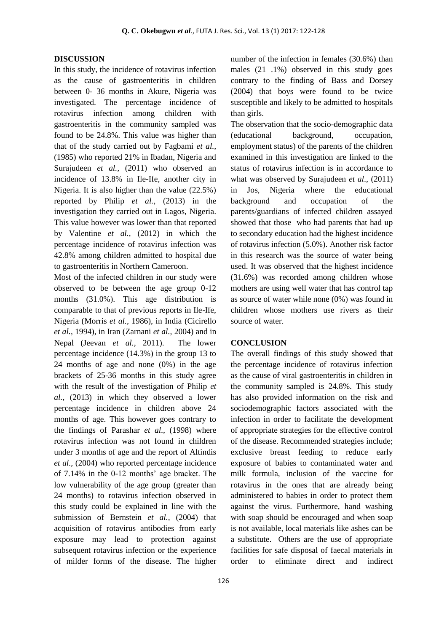#### **DISCUSSION**

In this study, the incidence of rotavirus infection as the cause of gastroenteritis in children between 0- 36 months in Akure, Nigeria was investigated. The percentage incidence of rotavirus infection among children with gastroenteritis in the community sampled was found to be 24.8%. This value was higher than that of the study carried out by Fagbami *et al.,* (1985) who reported 21% in Ibadan, Nigeria and Surajudeen *et al.*, (2011) who observed an incidence of 13.8% in Ile-Ife, another city in Nigeria. It is also higher than the value (22.5%) reported by Philip *et al.,* (2013) in the investigation they carried out in Lagos, Nigeria. This value however was lower than that reported by Valentine *et al.,* (2012) in which the percentage incidence of rotavirus infection was 42.8% among children admitted to hospital due to gastroenteritis in Northern Cameroon.

Most of the infected children in our study were observed to be between the age group 0-12 months (31.0%). This age distribution is comparable to that of previous reports in Ile-Ife, Nigeria (Morris *et al.,* 1986), in India (Cicirello *et al.,* 1994), in Iran (Zarnani *et al.,* 2004) and in Nepal (Jeevan *et al.,* 2011). The lower percentage incidence (14.3%) in the group 13 to 24 months of age and none (0%) in the age brackets of 25-36 months in this study agree with the result of the investigation of Philip *et al.,* (2013) in which they observed a lower percentage incidence in children above 24 months of age. This however goes contrary to the findings of Parashar *et al.,* (1998) where rotavirus infection was not found in children under 3 months of age and the report of Altindis *et al.,* (2004) who reported percentage incidence of 7.14% in the 0-12 months' age bracket. The low vulnerability of the age group (greater than 24 months) to rotavirus infection observed in this study could be explained in line with the submission of Bernstein *et al.,* (2004) that acquisition of rotavirus antibodies from early exposure may lead to protection against subsequent rotavirus infection or the experience of milder forms of the disease. The higher

number of the infection in females (30.6%) than males (21 .1%) observed in this study goes contrary to the finding of Bass and Dorsey (2004) that boys were found to be twice susceptible and likely to be admitted to hospitals than girls.

The observation that the socio-demographic data (educational background, occupation, employment status) of the parents of the children examined in this investigation are linked to the status of rotavirus infection is in accordance to what was observed by Surajudeen *et al*., (2011) in Jos, Nigeria where the educational background and occupation of the parents/guardians of infected children assayed showed that those who had parents that had up to secondary education had the highest incidence of rotavirus infection (5.0%). Another risk factor in this research was the source of water being used. It was observed that the highest incidence (31.6%) was recorded among children whose mothers are using well water that has control tap as source of water while none (0%) was found in children whose mothers use rivers as their source of water.

#### **CONCLUSION**

The overall findings of this study showed that the percentage incidence of rotavirus infection as the cause of viral gastroenteritis in children in the community sampled is 24.8%. This study has also provided information on the risk and sociodemographic factors associated with the infection in order to facilitate the development of appropriate strategies for the effective control of the disease. Recommended strategies include; exclusive breast feeding to reduce early exposure of babies to contaminated water and milk formula, inclusion of the vaccine for rotavirus in the ones that are already being administered to babies in order to protect them against the virus. Furthermore, hand washing with soap should be encouraged and when soap is not available, local materials like ashes can be a substitute. Others are the use of appropriate facilities for safe disposal of faecal materials in order to eliminate direct and indirect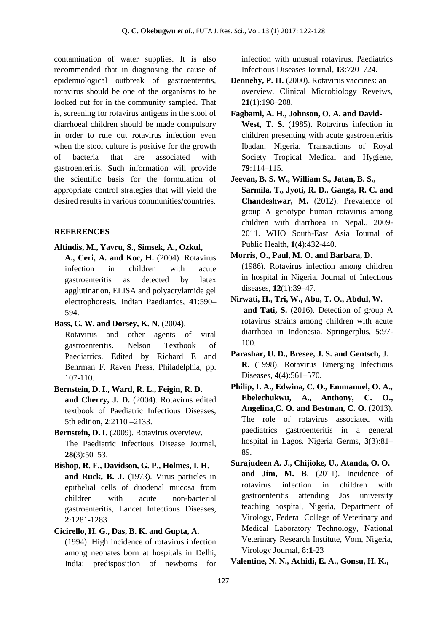contamination of water supplies. It is also recommended that in diagnosing the cause of epidemiological outbreak of gastroenteritis, rotavirus should be one of the organisms to be looked out for in the community sampled. That is, screening for rotavirus antigens in the stool of diarrhoeal children should be made compulsory in order to rule out rotavirus infection even when the stool culture is positive for the growth of bacteria that are associated with gastroenteritis. Such information will provide the scientific basis for the formulation of appropriate control strategies that will yield the desired results in various communities/countries.

## **REFERENCES**

**Altindis, M., Yavru, S., Simsek, A., Ozkul,**

**A., Ceri, A. and Koc, H.** (2004). Rotavirus infection in children with acute gastroenteritis as detected by latex agglutination, ELISA and polyacrylamide gel electrophoresis. Indian Paediatrics, **41**:590– 594.

**Bass, C. W. and Dorsey, K. N.** (2004).

Rotavirus and other agents of viral gastroenteritis. Nelson Textbook of Paediatrics. Edited by Richard E and Behrman F. Raven Press, Philadelphia, pp. 107-110.

- **Bernstein, D. I., Ward, R. L., Feigin, R. D. and Cherry, J. D.** (2004). Rotavirus edited textbook of Paediatric Infectious Diseases, 5th edition, **2**:2110 –2133.
- **Bernstein, D. I.** (2009). Rotavirus overview. The Paediatric Infectious Disease Journal, **28(**3):50–53.

**Bishop, R. F., Davidson, G. P., Holmes, I. H. and Ruck, B. J.** (1973). Virus particles in epithelial cells of duodenal mucosa from children with acute non-bacterial gastroenteritis*,* Lancet Infectious Diseases, **2**:1281-1283.

**Cicirello, H. G., Das, B. K. and Gupta, A.**

(1994). High incidence of rotavirus infection among neonates born at hospitals in Delhi, India: predisposition of newborns for infection with unusual rotavirus. Paediatrics Infectious Diseases Journal*,* **13**:720–724.

- **Dennehy, P. H.** (2000). Rotavirus vaccines: an overview. Clinical Microbiology Reveiws*,*  **21**(1):198–208.
- **Fagbami, A. H., Johnson, O. A. and David-West, T. S.** (1985). Rotavirus infection in children presenting with acute gastroenteritis Ibadan, Nigeria. Transactions of Royal Society Tropical Medical and Hygiene*,*  **79**:114–115.
- **Jeevan, B. S. W., William S., Jatan, B. S., Sarmila, T., Jyoti, R. D., Ganga, R. C. and Chandeshwar, M.** (2012). Prevalence of group A genotype human rotavirus among children with diarrhoea in Nepal., 2009- 2011. WHO South-East Asia Journal of Public Health, **1**(4):432-440.
- **Morris, O., Paul, M. O. and Barbara, D**. (1986). Rotavirus infection among children in hospital in Nigeria. Journal of Infectious diseases, **12**(1):39–47.
- **Nirwati, H., Tri, W., Abu, T. O., Abdul, W. and Tati, S.** (2016). Detection of group A rotavirus strains among children with acute diarrhoea in Indonesia. Springerplus, **5**:97- 100.
- **Parashar, U. D., Bresee, J. S. and Gentsch, J. R.** (1998). Rotavirus Emerging Infectious Diseases, **4**(4):561–570.
- **Philip, I. A., Edwina, C. O., Emmanuel, O. A., Ebelechukwu, A., Anthony, C. O., Angelina,C. O. and Bestman, C. O.** (2013). The role of rotavirus associated with paediatrics gastroenteritis in a general hospital in Lagos*.* Nigeria Germs, **3**(3):81– 89.
- **Surajudeen A. J., Chijioke, U., Atanda, O. O. and Jim, M. B**. (2011). Incidence of rotavirus infection in children with gastroenteritis attending Jos university teaching hospital, Nigeria, Department of Virology, Federal College of Veterinary and Medical Laboratory Technology, National Veterinary Research Institute, Vom, Nigeria, Virology Journal*,* 8**:1**-23

**Valentine, N. N., Achidi, E. A., Gonsu, H. K.,**